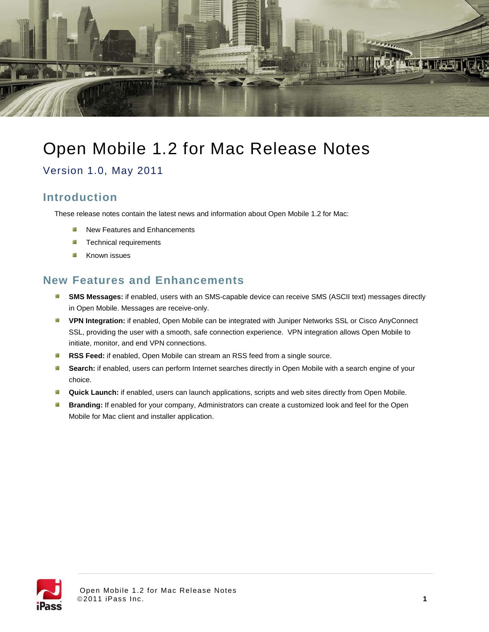

# Open Mobile 1.2 for Mac Release Notes

Version 1.0, May 2011

# **Introduction**

These release notes contain the latest news and information about Open Mobile 1.2 for Mac:

- Т. New Features and Enhancements
- ц, Technical requirements
- -3 Known issues

### **New Features and Enhancements**

- **SMS Messages:** if enabled, users with an SMS-capable device can receive SMS (ASCII text) messages directly in Open Mobile. Messages are receive-only.
- **VPN Integration:** if enabled, Open Mobile can be integrated with Juniper Networks SSL or Cisco AnyConnect SSL, providing the user with a smooth, safe connection experience. VPN integration allows Open Mobile to initiate, monitor, and end VPN connections.
- á, **RSS Feed:** if enabled, Open Mobile can stream an RSS feed from a single source.
- н. **Search:** if enabled, users can perform Internet searches directly in Open Mobile with a search engine of your choice.
- a. **Quick Launch:** if enabled, users can launch applications, scripts and web sites directly from Open Mobile.
- **Branding:** If enabled for your company, Administrators can create a customized look and feel for the Open 3 Mobile for Mac client and installer application.

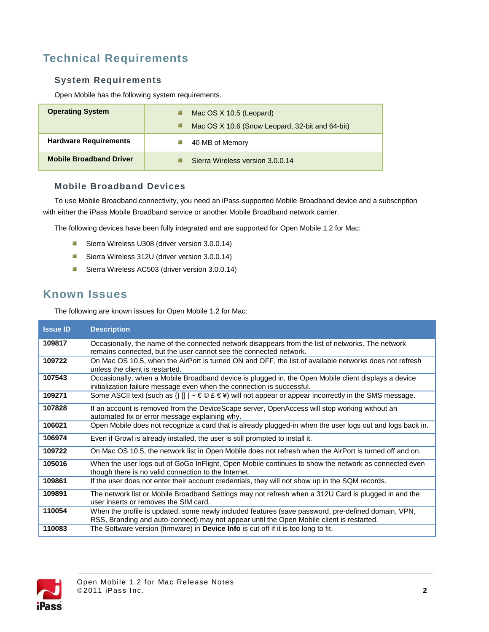# **Technical Requirements**

#### **System Requirements**

Open Mobile has the following system requirements.

| <b>Operating System</b>        | Mac OS X 10.5 (Leopard)<br>ц,<br>Mac OS X 10.6 (Snow Leopard, 32-bit and 64-bit)<br>ц2 |
|--------------------------------|----------------------------------------------------------------------------------------|
| <b>Hardware Requirements</b>   | 40 MB of Memory                                                                        |
| <b>Mobile Broadband Driver</b> | Sierra Wireless version 3.0.0.14                                                       |

#### **Mobile Broadband Devices**

To use Mobile Broadband connectivity, you need an iPass-supported Mobile Broadband device and a subscription with either the iPass Mobile Broadband service or another Mobile Broadband network carrier.

The following devices have been fully integrated and are supported for Open Mobile 1.2 for Mac:

- **B** Sierra Wireless U308 (driver version 3.0.0.14)
- **B** Sierra Wireless 312U (driver version 3.0.0.14)
- **Sierra Wireless AC503 (driver version 3.0.0.14)**

### **Known Issues**

The following are known issues for Open Mobile 1.2 for Mac:

| <b>Issue ID</b> | <b>Description</b>                                                                                                                                                                              |
|-----------------|-------------------------------------------------------------------------------------------------------------------------------------------------------------------------------------------------|
| 109817          | Occasionally, the name of the connected network disappears from the list of networks. The network<br>remains connected, but the user cannot see the connected network.                          |
| 109722          | On Mac OS 10.5, when the AirPort is turned ON and OFF, the list of available networks does not refresh<br>unless the client is restarted.                                                       |
| 107543          | Occasionally, when a Mobile Broadband device is plugged in, the Open Mobile client displays a device<br>initialization failure message even when the connection is successful.                  |
| 109271          | Some ASCII text (such as $\{y \mid y \in \mathbb{C} \in \mathbb{R} \}$ ) will not appear or appear incorrectly in the SMS message.                                                              |
| 107828          | If an account is removed from the DeviceScape server, OpenAccess will stop working without an<br>automated fix or error message explaining why.                                                 |
| 106021          | Open Mobile does not recognize a card that is already plugged-in when the user logs out and logs back in.                                                                                       |
| 106974          | Even if Growl is already installed, the user is still prompted to install it.                                                                                                                   |
| 109722          | On Mac OS 10.5, the network list in Open Mobile does not refresh when the AirPort is turned off and on.                                                                                         |
| 105016          | When the user logs out of GoGo InFlight, Open Mobile continues to show the network as connected even<br>though there is no valid connection to the Internet.                                    |
| 109861          | If the user does not enter their account credentials, they will not show up in the SQM records.                                                                                                 |
| 109891          | The network list or Mobile Broadband Settings may not refresh when a 312U Card is plugged in and the<br>user inserts or removes the SIM card.                                                   |
| 110054          | When the profile is updated, some newly included features (save password, pre-defined domain, VPN,<br>RSS, Branding and auto-connect) may not appear until the Open Mobile client is restarted. |
| 110083          | The Software version (firmware) in <b>Device Info</b> is cut off if it is too long to fit.                                                                                                      |